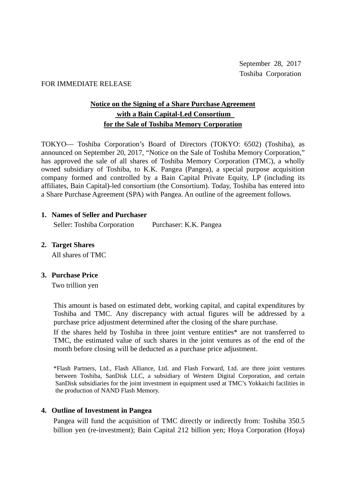#### FOR IMMEDIATE RELEASE

# **Notice on the Signing of a Share Purchase Agreement with a Bain Capital-Led Consortium for the Sale of Toshiba Memory Corporation**

TOKYO— Toshiba Corporation's Board of Directors (TOKYO: 6502) (Toshiba), as announced on September 20, 2017, "Notice on the Sale of Toshiba Memory Corporation," has approved the sale of all shares of Toshiba Memory Corporation (TMC), a wholly owned subsidiary of Toshiba, to K.K. Pangea (Pangea), a special purpose acquisition company formed and controlled by a Bain Capital Private Equity, LP (including its affiliates, Bain Capital)-led consortium (the Consortium). Today, Toshiba has entered into a Share Purchase Agreement (SPA) with Pangea. An outline of the agreement follows.

#### **1. Names of Seller and Purchaser**

Seller: Toshiba Corporation Purchaser: K.K. Pangea

**2. Target Shares**

All shares of TMC

### **3. Purchase Price**

Two trillion yen

This amount is based on estimated debt, working capital, and capital expenditures by Toshiba and TMC. Any discrepancy with actual figures will be addressed by a purchase price adjustment determined after the closing of the share purchase.

If the shares held by Toshiba in three joint venture entities\* are not transferred to TMC, the estimated value of such shares in the joint ventures as of the end of the month before closing will be deducted as a purchase price adjustment.

\*Flash Partners, Ltd., Flash Alliance, Ltd. and Flash Forward, Ltd. are three joint ventures between Toshiba, SanDisk LLC, a subsidiary of Western Digital Corporation, and certain SanDisk subsidiaries for the joint investment in equipment used at TMC's Yokkaichi facilities in the production of NAND Flash Memory.

### **4. Outline of Investment in Pangea**

Pangea will fund the acquisition of TMC directly or indirectly from: Toshiba 350.5 billion yen (re-investment); Bain Capital 212 billion yen; Hoya Corporation (Hoya)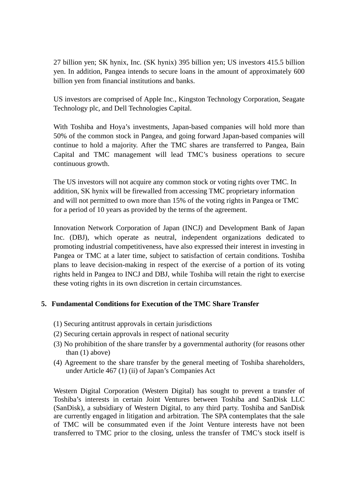27 billion yen; SK hynix, Inc. (SK hynix) 395 billion yen; US investors 415.5 billion yen. In addition, Pangea intends to secure loans in the amount of approximately 600 billion yen from financial institutions and banks.

US investors are comprised of Apple Inc., Kingston Technology Corporation, Seagate Technology plc, and Dell Technologies Capital.

With Toshiba and Hoya's investments, Japan-based companies will hold more than 50% of the common stock in Pangea, and going forward Japan-based companies will continue to hold a majority. After the TMC shares are transferred to Pangea, Bain Capital and TMC management will lead TMC's business operations to secure continuous growth.

The US investors will not acquire any common stock or voting rights over TMC. In addition, SK hynix will be firewalled from accessing TMC proprietary information and will not permitted to own more than 15% of the voting rights in Pangea or TMC for a period of 10 years as provided by the terms of the agreement.

Innovation Network Corporation of Japan (INCJ) and Development Bank of Japan Inc. (DBJ), which operate as neutral, independent organizations dedicated to promoting industrial competitiveness, have also expressed their interest in investing in Pangea or TMC at a later time, subject to satisfaction of certain conditions. Toshiba plans to leave decision-making in respect of the exercise of a portion of its voting rights held in Pangea to INCJ and DBJ, while Toshiba will retain the right to exercise these voting rights in its own discretion in certain circumstances.

## **5. Fundamental Conditions for Execution of the TMC Share Transfer**

- (1) Securing antitrust approvals in certain jurisdictions
- (2) Securing certain approvals in respect of national security
- (3) No prohibition of the share transfer by a governmental authority (for reasons other than (1) above)
- (4) Agreement to the share transfer by the general meeting of Toshiba shareholders, under Article 467 (1) (ii) of Japan's Companies Act

Western Digital Corporation (Western Digital) has sought to prevent a transfer of Toshiba's interests in certain Joint Ventures between Toshiba and SanDisk LLC (SanDisk), a subsidiary of Western Digital, to any third party. Toshiba and SanDisk are currently engaged in litigation and arbitration. The SPA contemplates that the sale of TMC will be consummated even if the Joint Venture interests have not been transferred to TMC prior to the closing, unless the transfer of TMC's stock itself is